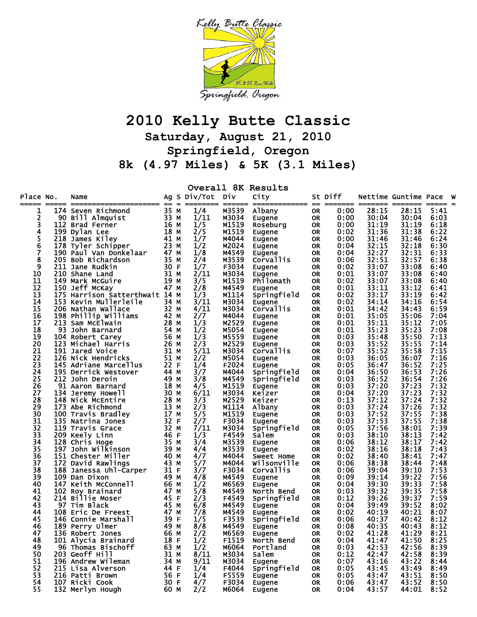

## **2010 Kelly Butte Classic**

**Saturday, August 21, 2010 Springfield, Oregon** 

**8k (4.97 Miles) & 5K (3.1 Miles)** 

| Overall 8K Results |     |                                |      |  |                  |        |                   |           |         |       |                      |      |     |
|--------------------|-----|--------------------------------|------|--|------------------|--------|-------------------|-----------|---------|-------|----------------------|------|-----|
| Place No.<br>===== |     | Name                           |      |  | Ag S Div/Tot Div | ====== | City              |           | St Diff |       | Nettime Guntime Pace |      | - W |
| 1                  |     | 174 Seven Richmond             | 35 M |  | 1/4              | M3539  | Albany            | 0R        | 0:00    | 28:15 | 28:15                | 5:41 |     |
| 2                  |     | 90 Bill Almquist               | 33 M |  | 1/11             | M3034  | Eugene            | 0R        | 0:00    | 30:04 | 30:04                | 6:03 |     |
| 3                  |     | 112 Brad Ferner                | 16 м |  | 1/5              | M1519  | Roseburg          | 0R        | 0:00    | 31:19 | 31:19                | 6:18 |     |
| 4                  |     | 199 Dylan Lee                  | 18 M |  | 2/5              | M1519  | Eugene            | 0R        | 0:02    | 31:36 | 31:38                | 6:22 |     |
| 5                  |     | 218 James Kiley                | 41 M |  | 1/7              | M4044  | Eugene            | 0R        | 0:00    | 31:46 | 31:46                | 6:24 |     |
| 6                  |     | 178 Tyler Schipper             | 23 M |  | 1/2              | M2024  | Eugene            | 0R        | 0:04    | 32:15 | 32:18                | 6:30 |     |
| 7                  |     | 190 Paul Van Donkelaar         | 47 M |  | 1/8              | M4549  | Eugene            | <b>OR</b> | 0:04    | 32:27 | 32:31                | 6:33 |     |
| 8                  |     | 205 Bob Richardson             | 35 M |  | 2/4              | M3539  | Corvallis         | <b>OR</b> | 0:06    | 32:51 | 32:57                | 6:38 |     |
| 9                  |     | 211 Jane Rudkin                | 30 F |  | 1/7              | F3034  | Eugene            | <b>OR</b> | 0:02    | 33:07 | 33:08                | 6:40 |     |
| 10                 |     | 210 Shane Land                 | 31 M |  | 2/11             | M3034  | Eugene            | 0R        | 0:01    | 33:07 | 33:08                | 6:40 |     |
| 11                 |     | 149 Mark McGuire               | 19 M |  | 3/5              | M1519  | Philomath         | <b>OR</b> | 0:02    | 33:07 | 33:08                | 6:40 |     |
| 12                 |     | 150 Jeff McKay                 | 47 M |  | 2/8              | M4549  | Eugene            | <b>OR</b> | 0:01    | 33:11 | 33:12                | 6:41 |     |
| 13                 |     | 175 Harrison Satterthwait 14 M |      |  | 1/3              | M1114  | Springfield       | 0R        | 0:02    | 33:17 | 33:19                | 6:42 |     |
| 14                 |     | 153 Kevin Mullerleile          | 34 M |  | 3/11             | M3034  | Eugene            | 0R        | 0:02    | 34:14 | 34:16                | 6:54 |     |
| 15                 |     | 206 Nathan Wallace             | 32 M |  | 4/11             | M3034  | Corvallis         | OR.       | 0:01    | 34:42 | 34:43                | 6:59 |     |
| 16                 |     | 198 Phillip Williams           | 42 M |  | 2/7              | M4044  | Eugene            | 0R        | 0:01    | 35:05 | 35:06                | 7:04 |     |
| 17                 |     | 213 Sam McElwain               | 28 M |  | 1/3              | M2529  | Eugene            | 0R        | 0:01    | 35:11 | 35:12                | 7:05 |     |
| 18                 |     | 93 John Barnard                | 54 M |  | 1/2              | M5054  | Eugene            | 0R        | 0:01    | 35:23 | 35:23                | 7:08 |     |
| 19                 |     | 104 Robert Carey               | 56 M |  | 1/3              | M5559  | Eugene            | 0R        | 0:03    | 35:48 | 35:50                | 7:13 |     |
| 20                 |     | 123 Michael Harris             | 26 M |  | 2/3              | M2529  | Eugene            | 0R        | 0:03    | 35:52 | 35:55                | 7:14 |     |
| 21                 |     | <b>191 Jared Voice</b>         | 31 M |  | 5/11             | M3034  | Corvallis         | <b>OR</b> | 0:07    | 35:52 | 35:58                | 7:15 |     |
| 22                 |     | 126 Nick Hendricks             | 51 M |  | 2/2              | M5054  | Eugene            | 0R        | 0:03    | 36:05 | 36:07                | 7:16 |     |
| 23                 |     | 145 Adriane Marcellus          | 22 F |  | 1/4              | F2024  | Eugene            | OR.       | 0:05    | 36:47 | 36:52                | 7:25 |     |
| 24                 |     | 195 Derrick Westover           | 44 M |  | 3/7              | M4044  | Springfield       | 0R        | 0:04    | 36:50 | 36:53                | 7:26 |     |
| 25                 |     | 212 John Deroin                | 49 M |  | 3/8              | M4549  | Springfield       | 0R        | 0:03    | 36:52 | 36:54                | 7:26 |     |
| 26                 |     | 91 Aaron Barnard               | 18 M |  | 4/5              | M1519  | Eugene            | 0R        | 0:03    | 37:20 | 37:23                | 7:32 |     |
| 27                 | 134 | Jeremy Howell                  | 30 M |  | 6/11             | M3034  | Keizer            | OR.       | 0:04    | 37:20 | 37:23                | 7:32 |     |
| 28                 |     | 148 Nick McEntire              | 28 M |  | 3/3              | M2529  | Keizer            |           | 0:13    | 37:12 | 37:24                | 7:32 |     |
| 29                 |     | 173 Abe Richmond               | 13 M |  | 2/3              | M1114  | Albany            | <b>OR</b> | 0:03    | 37:24 | 37:26                | 7:32 |     |
| 30                 |     |                                | 17 M |  |                  |        |                   | 0R        |         | 37:52 | 37:55                | 7:38 |     |
| 31                 |     | 100 Travis Bradley             | 32 F |  | 5/5              | M1519  | Eugene            | 0R        | 0:03    | 37:53 | 37:55                | 7:38 |     |
|                    |     | 135 Natrina Jones              |      |  | 2/7              | F3034  | Eugene            | OR.       | 0:03    |       |                      |      |     |
| 32                 |     | 119 Travis Grace               | 32 M |  | 7/11             | M3034  | Springfield       | 0R        | 0:05    | 37:56 | 38:01                | 7:39 |     |
| 33                 |     | 209 Keely Linn                 | 46 F |  | 1/3              | F4549  | Salem             | <b>OR</b> | 0:03    | 38:10 | 38:13                | 7:42 |     |
| 34                 |     | 128 Chris Hoge                 | 35 M |  | 3/4              | M3539  | Eugene            | <b>OR</b> | 0:06    | 38:12 | 38:17                | 7:42 |     |
| 35                 |     | 197 John Wilkinson             | 39 M |  | 4/4              | M3539  | Eugene            | <b>OR</b> | 0:02    | 38:16 | 38:18                | 7:43 |     |
| 36                 |     | 151 Chester Miller             | 40 M |  | 4/7              | M4044  | <b>Sweet Home</b> | <b>OR</b> | 0:02    | 38:40 | 38:41                | 7:47 |     |
| 37                 |     | 172 David Rawlings             | 43 M |  | 5/7              | M4044  | Wilsonville       | <b>OR</b> | 0:06    | 38:38 | 38:44                | 7:48 |     |
| 38                 |     | 188 Janessa Uhl-Carper         | 31 F |  | 3/7              | F3034  | <b>Corvallis</b>  | <b>OR</b> | 0:06    | 39:04 | 39:10                | 7:53 |     |
| 39                 |     | 109 Dan Dixon                  | 49 M |  | 4/8              | M4549  | <b>Eugene</b>     | <b>OR</b> | 0:09    | 39:14 | 39:22                | 7:56 |     |
| 40                 |     | 147 Keith McConnell            | 66 M |  | 1/2              | м6569  | Eugene            | <b>OR</b> | 0:04    | 39:30 | 39:33                | 7:58 |     |
| 41                 |     | 102 Roy Brainard               | 47 M |  | 5/8              | M4549  | North Bend        | OR.       | 0:03    | 39:32 | 39:35                | 7:58 |     |
| 42                 |     | 214 Billie Moser               | 45 F |  | 2/3              | F4549  | Springfield       | 0R        | 0:12    | 39:26 | 39:37                | 7:59 |     |
| 43                 |     | 97 Tim Black                   | 45 M |  | 6/8              | M4549  | <b>Eugene</b>     | 0R        | 0:04    | 39:49 | 39:52                | 8:02 |     |
| 44                 |     | 108 Eric De Freest             | 47 M |  | 7/8              | M4549  | Eugene            | 0R        | 0:02    | 40:19 | 40:21                | 8:07 |     |
| 45                 |     | 146 Connie Marshall            | 39 F |  | 1/5              | F3539  | Springfield       | <b>OR</b> | 0:06    | 40:37 | 40:42                | 8:12 |     |
| 46                 |     | 189 Perry Ulmer                | 49 M |  | 8/8              | M4549  | Eugene            | <b>OR</b> | 0:08    | 40:35 | 40:43                | 8:12 |     |
| 47                 |     | 136 Robert Jones               | 66 M |  | 2/2              | M6569  | Eugene            | OR        | 0:02    | 41:28 | 41:29                | 8:21 |     |
| 48                 |     | 101 Alycia Brainard            | 18 F |  | 1/2              | F1519  | North Bend        | <b>OR</b> | 0:04    | 41:47 | 41:50                | 8:25 |     |
| 49                 |     | 96 Thomas Bischoff             | 63 M |  | 1/2              | M6064  | Portland          | OR        | 0:03    | 42:53 | 42:56                | 8:39 |     |
| 50                 |     | 203 Geoff Hill                 | 31 M |  | 8/11             | м3034  | Salem             | 0R        | 0:12    | 42:47 | 42:58                | 8:39 |     |
| 51                 |     | 196 Andrew Wileman             | 34 M |  | 9/11             | M3034  | Eugene            | 0R        | 0:07    | 43:16 | 43:22                | 8:44 |     |
| 52                 |     | 215 Lisa Alverson              | 44 F |  | 1/4              | F4044  | Springfield       | 0R        | 0:05    | 43:45 | 43:49                | 8:49 |     |
| 53                 |     | 216 Patti Brown                | 56 F |  | 1/4              | F5559  | Eugene            | 0R        | 0:05    | 43:47 | 43:51                | 8:50 |     |
| 54                 |     | 107 Ricki Cook                 | 30 F |  | 4/7              | F3034  | Eugene            | OR        | 0:06    | 43:47 | 43:52                | 8:50 |     |
| 55                 |     | 132 Merlyn Hough               | 60 M |  | 2/2              | м6064  | Eugene            | OR        | 0:04    | 43:57 | 44:01                | 8:52 |     |
|                    |     |                                |      |  |                  |        |                   |           |         |       |                      |      |     |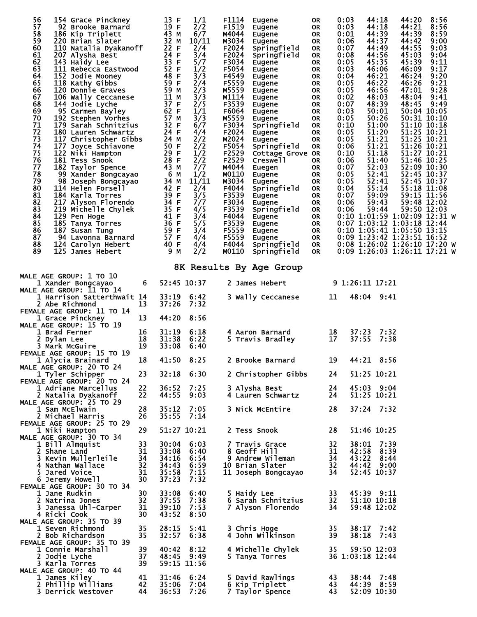| 56<br>154 Grace Pinckney<br>57<br>92 Brooke Barnard<br>58<br>186 Kip Triplett<br>59<br>220 Brian Slater<br>60<br>110 Natalia Dyakanoff<br>61<br>207 Alysha Best<br>62<br>143 Haidy Lee<br>63<br>111 Rebecca Eastwood<br>64<br>152 Jodie Mooney<br>65<br>118 Kathy Gibbs<br>66<br>120 Donnie Graves<br>67<br>106 Wally Ceccanese<br>68<br>144 Jodie Lyche<br>69<br>95 Carmen Bayley<br>70<br>192 Stephen Vorhes<br>71<br>179 Sarah Schnitzius<br>72<br>180 Lauren Schwartz<br>73<br>117 Christopher Gibbs<br>74<br>177 Joyce Schiavone<br>75<br>122 Niki Hampton<br>76<br>181 Tess Snook<br>77<br>182 Taylor Spence<br>78<br>99 Xander Bongcayao<br>79<br>98 Joseph Bongcayao<br>80<br>114 Helen Forsell<br>81<br>184 Karla Torres<br>82<br>217 Alyson Florendo<br>83<br>219 Michelle Chylek<br>84<br>129 Pen Hoge<br>85<br>185 Tanya Torres<br>86<br>187 Susan Tung<br>87<br>94 Lavonna Barnard<br>88<br>124 Carolyn Hebert<br>89<br>125 James Hebert |                | 13 F<br>19 F<br>43 M<br>32 M<br>22 F<br>24 F<br>33 F<br>52 F<br>48 F<br>59 F<br>59 M<br>11 M<br>37 F<br>62 F<br>57 M<br>32 F<br>24 F<br>24 M<br>50 F<br>29 F<br>28 F<br>43 M<br>6 M<br>34 M<br>42 F<br>39 F<br>34 F<br>35 F<br>41 F<br>36 F<br>59 F<br>57 F<br>40 F<br>9 M | 1/1<br>2/2<br>6/7<br>10/11<br>2/4<br>3/4<br>5/7<br>1/2<br>3/3<br>2/4<br>2/3<br>3/3<br>2/5<br>1/1<br>3/3<br>6/7<br>4/4<br>2/2<br>2/2<br>1/2<br>2/2<br>7/7<br>1/2<br>11/11<br>2/4<br>3/5<br>7/7<br>4/5<br>3/4<br>5/5<br>3/4<br>4/4<br>4/4<br>2/2 | F1114<br>F1519<br>M4044<br>M3034<br>F2024<br>F2024<br>F3034<br>F5054<br>F4549<br>F5559<br>M5559<br>M1114<br>F3539<br>F6064<br>M5559<br>F3034<br>F2024<br>M2024<br>F5054<br>F2529<br>F2529<br>M4044<br>M0110<br>M3034<br>F4044<br>F3539<br>F3034<br>F3539<br>F4044<br>F3539<br>F5559<br>F5559<br>F4044<br>M0110 | Eugene<br>Eugene<br>Eugene<br>Eugene<br>Springfield<br>Springfield<br><b>Eugene</b><br>Eugene<br>Eugene<br>Eugene<br>Eugene<br>Eugene<br>Eugene<br>Eugene<br>Eugene<br>Springfield<br><b>Eugene</b><br>Eugene<br>Springfield<br>Cottage Grove OR<br>Creswell<br>Euegen<br>Eugene<br>Eugene<br>Springfield<br><b>Eugene</b><br>Eugene<br>Springfield<br><b>Eugene</b><br><b>Eugene</b><br>Eugene<br>Eugene<br>Springfield<br>Springfield | 0R<br>0R<br>OR.<br>0R<br>0R<br>0R<br>0R<br>0R<br>0R<br>0R<br>0R<br>0R<br>0R<br>0R<br>0R<br>0R<br>0R<br>0R<br>0R<br>OR.<br>0R<br>0R<br>0R<br>0R<br>0R<br>0R<br>0R<br>0R<br>0R<br>0R<br>0R<br>OR<br>0R. | 0:03<br>0:03<br>0:01<br>0:06<br>0:07<br>0:08<br>0:05<br>0:03<br>0:04<br>0:05<br>0:05<br>0:02<br>0:07<br>0:03<br>0:05<br>0:10<br>0:05<br>0:05<br>0:06<br>0:10<br>0:06<br>0:07<br>0:05<br>0:05<br>0:04<br>0:07<br>0:06<br>0:06 | 44:18<br>44:18<br>44:39<br>44:37<br>44:49<br>44:56<br>45:35<br>46:06<br>46:21<br>46:22<br>46:56<br>48:03<br>48:39<br>50:01<br>50:26<br>51:00<br>51:20<br>51:21<br>51:21<br>51:18<br>51:40<br>52:03<br>52:41<br>52:41<br>55:14<br>59:09<br>59:43<br>59:44 | 44:20<br>44:21<br>44:39<br>44:42<br>44:55<br>45:03<br>45:39<br>46:09<br>46:24<br>46:26<br>47:01<br>48:04<br>48:45<br>$0:10$ 1:01:59 1:02:09 12:31 W<br>0:07 1:03:12 1:03:18 12:44<br>0:10 1:05:41 1:05:50 13:15<br>0:09 1:23:42 1:23:51 16:52<br>0:08 1:26:02 1:26:10 17:20 W<br>0:09 1:26:03 1:26:11 17:21 W | 8:56<br>8:56<br>8:59<br>9:00<br>9:03<br>9:04<br>9:11<br>9:17<br>9:20<br>9:21<br>9:28<br>9:41<br>9:49<br>50:04 10:05<br>50:31 10:10<br>51:10 10:18<br>51:25 10:21<br>51:25 10:21<br>51:26 10:21<br>51:27 10:21<br>51:46 10:25<br>52:09 10:30<br>52:45 10:37<br>52:45 10:37<br>55:18 11:08<br>59:15 11:56<br>59:48 12:02<br>59:50 12:03 |
|-------------------------------------------------------------------------------------------------------------------------------------------------------------------------------------------------------------------------------------------------------------------------------------------------------------------------------------------------------------------------------------------------------------------------------------------------------------------------------------------------------------------------------------------------------------------------------------------------------------------------------------------------------------------------------------------------------------------------------------------------------------------------------------------------------------------------------------------------------------------------------------------------------------------------------------------------------|----------------|----------------------------------------------------------------------------------------------------------------------------------------------------------------------------------------------------------------------------------------------------------------------------|------------------------------------------------------------------------------------------------------------------------------------------------------------------------------------------------------------------------------------------------|----------------------------------------------------------------------------------------------------------------------------------------------------------------------------------------------------------------------------------------------------------------------------------------------------------------|-----------------------------------------------------------------------------------------------------------------------------------------------------------------------------------------------------------------------------------------------------------------------------------------------------------------------------------------------------------------------------------------------------------------------------------------|-------------------------------------------------------------------------------------------------------------------------------------------------------------------------------------------------------|------------------------------------------------------------------------------------------------------------------------------------------------------------------------------------------------------------------------------|----------------------------------------------------------------------------------------------------------------------------------------------------------------------------------------------------------------------------------------------------------|---------------------------------------------------------------------------------------------------------------------------------------------------------------------------------------------------------------------------------------------------------------------------------------------------------------|---------------------------------------------------------------------------------------------------------------------------------------------------------------------------------------------------------------------------------------------------------------------------------------------------------------------------------------|
|                                                                                                                                                                                                                                                                                                                                                                                                                                                                                                                                                                                                                                                                                                                                                                                                                                                                                                                                                       |                |                                                                                                                                                                                                                                                                            |                                                                                                                                                                                                                                                |                                                                                                                                                                                                                                                                                                                | 8K Results By Age Group                                                                                                                                                                                                                                                                                                                                                                                                                 |                                                                                                                                                                                                       |                                                                                                                                                                                                                              |                                                                                                                                                                                                                                                          |                                                                                                                                                                                                                                                                                                               |                                                                                                                                                                                                                                                                                                                                       |
| <b>MALE AGE GROUP: 1 TO 10</b><br>1 Xander Bongcayao                                                                                                                                                                                                                                                                                                                                                                                                                                                                                                                                                                                                                                                                                                                                                                                                                                                                                                  | 6              |                                                                                                                                                                                                                                                                            | 52:45 10:37                                                                                                                                                                                                                                    |                                                                                                                                                                                                                                                                                                                | 2 James Hebert                                                                                                                                                                                                                                                                                                                                                                                                                          |                                                                                                                                                                                                       |                                                                                                                                                                                                                              | 9 1:26:11 17:21                                                                                                                                                                                                                                          |                                                                                                                                                                                                                                                                                                               |                                                                                                                                                                                                                                                                                                                                       |
| <b>MALE AGE GROUP: 11 TO 14</b><br>1 Harrison Satterthwait 14<br><b>2 Abe Richmond</b>                                                                                                                                                                                                                                                                                                                                                                                                                                                                                                                                                                                                                                                                                                                                                                                                                                                                | 13             | 33:19<br>37:26                                                                                                                                                                                                                                                             | 6:42<br>7:32                                                                                                                                                                                                                                   |                                                                                                                                                                                                                                                                                                                | 3 Wally Ceccanese                                                                                                                                                                                                                                                                                                                                                                                                                       | 11                                                                                                                                                                                                    |                                                                                                                                                                                                                              | 48:04 9:41                                                                                                                                                                                                                                               |                                                                                                                                                                                                                                                                                                               |                                                                                                                                                                                                                                                                                                                                       |
| <b>FEMALE AGE GROUP: 11 TO 14</b><br>1 Grace Pinckney<br><b>MALE AGE GROUP: 15 TO 19</b>                                                                                                                                                                                                                                                                                                                                                                                                                                                                                                                                                                                                                                                                                                                                                                                                                                                              | 13             | 44:20                                                                                                                                                                                                                                                                      | 8:56                                                                                                                                                                                                                                           |                                                                                                                                                                                                                                                                                                                |                                                                                                                                                                                                                                                                                                                                                                                                                                         |                                                                                                                                                                                                       |                                                                                                                                                                                                                              |                                                                                                                                                                                                                                                          |                                                                                                                                                                                                                                                                                                               |                                                                                                                                                                                                                                                                                                                                       |
| 1 Brad Ferner<br>2 Dylan Lee<br>3 Mark McGuire<br>FEMALE AGE GROUP: 15 TO 19                                                                                                                                                                                                                                                                                                                                                                                                                                                                                                                                                                                                                                                                                                                                                                                                                                                                          | 16<br>18<br>19 | 31:19<br>31:38<br>33:08                                                                                                                                                                                                                                                    | 6:18<br>6:22<br>6:40                                                                                                                                                                                                                           |                                                                                                                                                                                                                                                                                                                | 4 Aaron Barnard<br>5 Travis Bradley                                                                                                                                                                                                                                                                                                                                                                                                     | 18<br>17                                                                                                                                                                                              |                                                                                                                                                                                                                              | 37:23<br>37:55                                                                                                                                                                                                                                           | 7:32<br>7:38                                                                                                                                                                                                                                                                                                  |                                                                                                                                                                                                                                                                                                                                       |
| 1 Alycia Brainard                                                                                                                                                                                                                                                                                                                                                                                                                                                                                                                                                                                                                                                                                                                                                                                                                                                                                                                                     | 18             | 41:50                                                                                                                                                                                                                                                                      | 8:25                                                                                                                                                                                                                                           |                                                                                                                                                                                                                                                                                                                | 2 Brooke Barnard                                                                                                                                                                                                                                                                                                                                                                                                                        | 19                                                                                                                                                                                                    |                                                                                                                                                                                                                              | 44:21 8:56                                                                                                                                                                                                                                               |                                                                                                                                                                                                                                                                                                               |                                                                                                                                                                                                                                                                                                                                       |
| MALE AGE GROUP: 20 TO 24<br>1 Tyler Schipper<br>FEMALE AGE GROUP: 20 TO 24                                                                                                                                                                                                                                                                                                                                                                                                                                                                                                                                                                                                                                                                                                                                                                                                                                                                            | 23             |                                                                                                                                                                                                                                                                            | 32:18 6:30                                                                                                                                                                                                                                     |                                                                                                                                                                                                                                                                                                                | 2 Christopher Gibbs                                                                                                                                                                                                                                                                                                                                                                                                                     | 24                                                                                                                                                                                                    |                                                                                                                                                                                                                              | 51:25 10:21                                                                                                                                                                                                                                              |                                                                                                                                                                                                                                                                                                               |                                                                                                                                                                                                                                                                                                                                       |
| 1 Adriane Marcellus<br>2 Natalia Dyakanoff<br>MALE AGE GROUP: 25 TO 29                                                                                                                                                                                                                                                                                                                                                                                                                                                                                                                                                                                                                                                                                                                                                                                                                                                                                | 22<br>22       | 36:52<br>44:55                                                                                                                                                                                                                                                             | 7:25<br>9:03                                                                                                                                                                                                                                   |                                                                                                                                                                                                                                                                                                                | 3 Alysha Best<br>4 Lauren Schwartz                                                                                                                                                                                                                                                                                                                                                                                                      | 24<br>24                                                                                                                                                                                              |                                                                                                                                                                                                                              | 45:03 9:04<br>51:25 10:21                                                                                                                                                                                                                                |                                                                                                                                                                                                                                                                                                               |                                                                                                                                                                                                                                                                                                                                       |
| 1 Sam McElwain<br>2 Michael Harris                                                                                                                                                                                                                                                                                                                                                                                                                                                                                                                                                                                                                                                                                                                                                                                                                                                                                                                    | 28<br>26       | 35:12<br>35:55                                                                                                                                                                                                                                                             | 7:05<br>7:14                                                                                                                                                                                                                                   |                                                                                                                                                                                                                                                                                                                | 3 Nick McEntire                                                                                                                                                                                                                                                                                                                                                                                                                         | 28                                                                                                                                                                                                    |                                                                                                                                                                                                                              | 37:24 7:32                                                                                                                                                                                                                                               |                                                                                                                                                                                                                                                                                                               |                                                                                                                                                                                                                                                                                                                                       |
| FEMALE AGE GROUP: 25 TO 29<br>1 Niki Hampton                                                                                                                                                                                                                                                                                                                                                                                                                                                                                                                                                                                                                                                                                                                                                                                                                                                                                                          | 29             |                                                                                                                                                                                                                                                                            | 51:27 10:21                                                                                                                                                                                                                                    |                                                                                                                                                                                                                                                                                                                | 2 Tess Snook                                                                                                                                                                                                                                                                                                                                                                                                                            | 28                                                                                                                                                                                                    |                                                                                                                                                                                                                              | 51:46 10:25                                                                                                                                                                                                                                              |                                                                                                                                                                                                                                                                                                               |                                                                                                                                                                                                                                                                                                                                       |
| MALE AGE GROUP: 30 TO 34<br>1 Bill Almquist                                                                                                                                                                                                                                                                                                                                                                                                                                                                                                                                                                                                                                                                                                                                                                                                                                                                                                           | 33             |                                                                                                                                                                                                                                                                            | 30:04 6:03                                                                                                                                                                                                                                     |                                                                                                                                                                                                                                                                                                                | 7 Travis Grace                                                                                                                                                                                                                                                                                                                                                                                                                          | 32                                                                                                                                                                                                    |                                                                                                                                                                                                                              | 38:01                                                                                                                                                                                                                                                    | 7:39                                                                                                                                                                                                                                                                                                          |                                                                                                                                                                                                                                                                                                                                       |
| 2 Shane Land<br>3 Kevin Mullerleile                                                                                                                                                                                                                                                                                                                                                                                                                                                                                                                                                                                                                                                                                                                                                                                                                                                                                                                   | 31<br>34       | 33:08<br>34:16                                                                                                                                                                                                                                                             | 6:40<br>6:54                                                                                                                                                                                                                                   |                                                                                                                                                                                                                                                                                                                | 8 Geoff Hill<br>9 Andrew Wileman                                                                                                                                                                                                                                                                                                                                                                                                        | 31<br>34                                                                                                                                                                                              |                                                                                                                                                                                                                              | 42:58 8:39<br>43:22 8:44                                                                                                                                                                                                                                 |                                                                                                                                                                                                                                                                                                               |                                                                                                                                                                                                                                                                                                                                       |
| 4 Nathan Wallace                                                                                                                                                                                                                                                                                                                                                                                                                                                                                                                                                                                                                                                                                                                                                                                                                                                                                                                                      | 32             |                                                                                                                                                                                                                                                                            | 34:43 6:59                                                                                                                                                                                                                                     |                                                                                                                                                                                                                                                                                                                | 10 Brian Slater                                                                                                                                                                                                                                                                                                                                                                                                                         | 32                                                                                                                                                                                                    |                                                                                                                                                                                                                              | 44:42 9:00                                                                                                                                                                                                                                               |                                                                                                                                                                                                                                                                                                               |                                                                                                                                                                                                                                                                                                                                       |
| 5 Jared Voice<br>6 Jeremy Howell                                                                                                                                                                                                                                                                                                                                                                                                                                                                                                                                                                                                                                                                                                                                                                                                                                                                                                                      | 31<br>30       | 35:58<br>37:23                                                                                                                                                                                                                                                             | 7:15<br>7:32                                                                                                                                                                                                                                   |                                                                                                                                                                                                                                                                                                                | 11 Joseph Bongcayao                                                                                                                                                                                                                                                                                                                                                                                                                     | 34                                                                                                                                                                                                    |                                                                                                                                                                                                                              | 52:45 10:37                                                                                                                                                                                                                                              |                                                                                                                                                                                                                                                                                                               |                                                                                                                                                                                                                                                                                                                                       |
| FEMALE AGE GROUP: 30 TO 34                                                                                                                                                                                                                                                                                                                                                                                                                                                                                                                                                                                                                                                                                                                                                                                                                                                                                                                            |                | 33:08                                                                                                                                                                                                                                                                      |                                                                                                                                                                                                                                                |                                                                                                                                                                                                                                                                                                                |                                                                                                                                                                                                                                                                                                                                                                                                                                         |                                                                                                                                                                                                       |                                                                                                                                                                                                                              |                                                                                                                                                                                                                                                          |                                                                                                                                                                                                                                                                                                               |                                                                                                                                                                                                                                                                                                                                       |
| 1 Jane Rudkin<br>2 Natrina Jones                                                                                                                                                                                                                                                                                                                                                                                                                                                                                                                                                                                                                                                                                                                                                                                                                                                                                                                      | 30<br>32       | 37:55                                                                                                                                                                                                                                                                      | 6:40<br>7:38                                                                                                                                                                                                                                   |                                                                                                                                                                                                                                                                                                                | 5 Haidy Lee<br>6 Sarah Schnitzius                                                                                                                                                                                                                                                                                                                                                                                                       | 33<br>32                                                                                                                                                                                              |                                                                                                                                                                                                                              | 45:39 9:11<br>51:10 10:18                                                                                                                                                                                                                                |                                                                                                                                                                                                                                                                                                               |                                                                                                                                                                                                                                                                                                                                       |
| 3 Janessa Uhl-Carper                                                                                                                                                                                                                                                                                                                                                                                                                                                                                                                                                                                                                                                                                                                                                                                                                                                                                                                                  | 31             | 39:10                                                                                                                                                                                                                                                                      | 7:53                                                                                                                                                                                                                                           |                                                                                                                                                                                                                                                                                                                | 7 Alyson Florendo                                                                                                                                                                                                                                                                                                                                                                                                                       | 34                                                                                                                                                                                                    |                                                                                                                                                                                                                              | 59:48 12:02                                                                                                                                                                                                                                              |                                                                                                                                                                                                                                                                                                               |                                                                                                                                                                                                                                                                                                                                       |
| 4 Ricki Cook<br><b>MALE AGE GROUP: 35 TO 39</b>                                                                                                                                                                                                                                                                                                                                                                                                                                                                                                                                                                                                                                                                                                                                                                                                                                                                                                       | 30             | 43:52                                                                                                                                                                                                                                                                      | 8:50                                                                                                                                                                                                                                           |                                                                                                                                                                                                                                                                                                                |                                                                                                                                                                                                                                                                                                                                                                                                                                         |                                                                                                                                                                                                       |                                                                                                                                                                                                                              |                                                                                                                                                                                                                                                          |                                                                                                                                                                                                                                                                                                               |                                                                                                                                                                                                                                                                                                                                       |
| 1 Seven Richmond<br>2 Bob Richardson                                                                                                                                                                                                                                                                                                                                                                                                                                                                                                                                                                                                                                                                                                                                                                                                                                                                                                                  | 35<br>35       | 28:15<br>32:57                                                                                                                                                                                                                                                             | 5:41<br>6:38                                                                                                                                                                                                                                   |                                                                                                                                                                                                                                                                                                                | 3 Chris Hoge<br>4 John Wilkinson                                                                                                                                                                                                                                                                                                                                                                                                        | 35<br>39                                                                                                                                                                                              |                                                                                                                                                                                                                              | $38:17$ 7:42<br>38:18<br>7:43                                                                                                                                                                                                                            |                                                                                                                                                                                                                                                                                                               |                                                                                                                                                                                                                                                                                                                                       |
| FEMALE AGE GROUP: 35 TO 39<br>1 Connie Marshall                                                                                                                                                                                                                                                                                                                                                                                                                                                                                                                                                                                                                                                                                                                                                                                                                                                                                                       | 39             | 40:42                                                                                                                                                                                                                                                                      | 8:12                                                                                                                                                                                                                                           |                                                                                                                                                                                                                                                                                                                | 4 Michelle Chylek                                                                                                                                                                                                                                                                                                                                                                                                                       | 35                                                                                                                                                                                                    |                                                                                                                                                                                                                              | 59:50 12:03                                                                                                                                                                                                                                              |                                                                                                                                                                                                                                                                                                               |                                                                                                                                                                                                                                                                                                                                       |
| 2 Jodie Lyche<br>3 Karla Torres                                                                                                                                                                                                                                                                                                                                                                                                                                                                                                                                                                                                                                                                                                                                                                                                                                                                                                                       | 37<br>39       | 48:45 9:49                                                                                                                                                                                                                                                                 | 59:15 11:56                                                                                                                                                                                                                                    |                                                                                                                                                                                                                                                                                                                | 5 Tanya Torres                                                                                                                                                                                                                                                                                                                                                                                                                          |                                                                                                                                                                                                       |                                                                                                                                                                                                                              | 36 1:03:18 12:44                                                                                                                                                                                                                                         |                                                                                                                                                                                                                                                                                                               |                                                                                                                                                                                                                                                                                                                                       |
| MALE AGE GROUP: 40 TO 44<br>1 James Kiley                                                                                                                                                                                                                                                                                                                                                                                                                                                                                                                                                                                                                                                                                                                                                                                                                                                                                                             | 41             | 31:46                                                                                                                                                                                                                                                                      | 6:24                                                                                                                                                                                                                                           |                                                                                                                                                                                                                                                                                                                | 5 David Rawlings                                                                                                                                                                                                                                                                                                                                                                                                                        | 43                                                                                                                                                                                                    |                                                                                                                                                                                                                              | 38:44 7:48                                                                                                                                                                                                                                               |                                                                                                                                                                                                                                                                                                               |                                                                                                                                                                                                                                                                                                                                       |
| 2 Phillip Williams                                                                                                                                                                                                                                                                                                                                                                                                                                                                                                                                                                                                                                                                                                                                                                                                                                                                                                                                    | 42             | 35:06                                                                                                                                                                                                                                                                      | 7:04                                                                                                                                                                                                                                           |                                                                                                                                                                                                                                                                                                                | 6 Kip Triplett                                                                                                                                                                                                                                                                                                                                                                                                                          | 43                                                                                                                                                                                                    |                                                                                                                                                                                                                              | 44:39 8:59                                                                                                                                                                                                                                               |                                                                                                                                                                                                                                                                                                               |                                                                                                                                                                                                                                                                                                                                       |
| 3 Derrick Westover                                                                                                                                                                                                                                                                                                                                                                                                                                                                                                                                                                                                                                                                                                                                                                                                                                                                                                                                    | 44             | 36:53                                                                                                                                                                                                                                                                      | 7:26                                                                                                                                                                                                                                           |                                                                                                                                                                                                                                                                                                                | 7 Taylor Spence                                                                                                                                                                                                                                                                                                                                                                                                                         | 43                                                                                                                                                                                                    |                                                                                                                                                                                                                              | 52:09 10:30                                                                                                                                                                                                                                              |                                                                                                                                                                                                                                                                                                               |                                                                                                                                                                                                                                                                                                                                       |